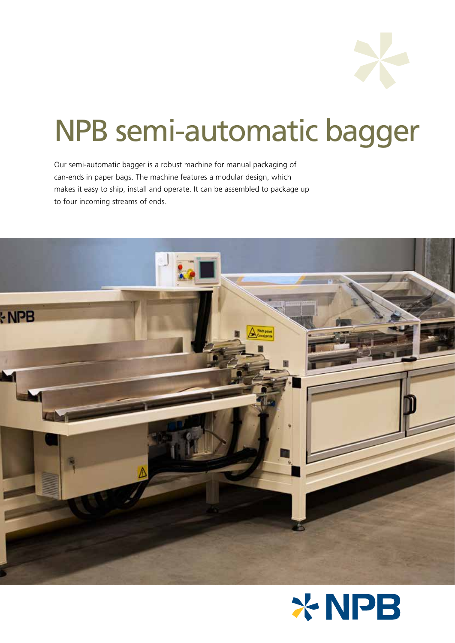

# NPB semi-automatic bagger

Our semi-automatic bagger is a robust machine for manual packaging of can-ends in paper bags. The machine features a modular design, which makes it easy to ship, install and operate. It can be assembled to package up to four incoming streams of ends.